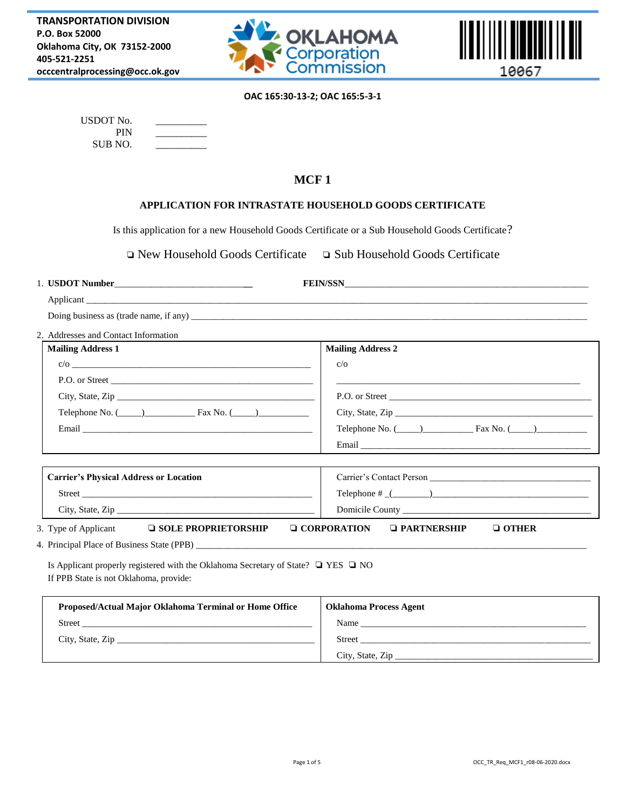



## **OAC 165:30-13-2; OAC 165:5-3-1**

| USDOT No. |  |
|-----------|--|
| PIN       |  |
| SUB NO.   |  |

# **MCF 1**

### **APPLICATION FOR INTRASTATE HOUSEHOLD GOODS CERTIFICATE**

Is this application for a new Household Goods Certificate or a Sub Household Goods Certificate?

❏ New Household Goods Certificate ❏ Sub Household Goods Certificate

| Applicant the contract of the contract of the contract of the contract of the contract of the contract of the contract of the contract of the contract of the contract of the contract of the contract of the contract of the |                                                                                                                                                                                                                                |  |  |
|-------------------------------------------------------------------------------------------------------------------------------------------------------------------------------------------------------------------------------|--------------------------------------------------------------------------------------------------------------------------------------------------------------------------------------------------------------------------------|--|--|
|                                                                                                                                                                                                                               |                                                                                                                                                                                                                                |  |  |
| 2. Addresses and Contact Information                                                                                                                                                                                          |                                                                                                                                                                                                                                |  |  |
| <b>Mailing Address 1</b>                                                                                                                                                                                                      | <b>Mailing Address 2</b>                                                                                                                                                                                                       |  |  |
|                                                                                                                                                                                                                               | c/o                                                                                                                                                                                                                            |  |  |
|                                                                                                                                                                                                                               | <u> 1989 - Jan James James James James James James James James James James James James James James James James Ja</u>                                                                                                          |  |  |
|                                                                                                                                                                                                                               |                                                                                                                                                                                                                                |  |  |
|                                                                                                                                                                                                                               |                                                                                                                                                                                                                                |  |  |
|                                                                                                                                                                                                                               | Telephone No. $(\_\_)$ Fax No. $(\_\_)$                                                                                                                                                                                        |  |  |
|                                                                                                                                                                                                                               |                                                                                                                                                                                                                                |  |  |
|                                                                                                                                                                                                                               |                                                                                                                                                                                                                                |  |  |
| <b>Carrier's Physical Address or Location</b>                                                                                                                                                                                 |                                                                                                                                                                                                                                |  |  |
| Street <b>Executive Street</b>                                                                                                                                                                                                |                                                                                                                                                                                                                                |  |  |
|                                                                                                                                                                                                                               |                                                                                                                                                                                                                                |  |  |
| 3. Type of Applicant<br>$\Box$ SOLE PROPRIETORSHIP                                                                                                                                                                            | $\Box$ CORPORATION<br>$\Box$ PARTNERSHIP<br>$\Box$ OTHER                                                                                                                                                                       |  |  |
|                                                                                                                                                                                                                               |                                                                                                                                                                                                                                |  |  |
| Is Applicant properly registered with the Oklahoma Secretary of State? $\Box$ YES $\Box$ NO<br>If PPB State is not Oklahoma, provide:                                                                                         |                                                                                                                                                                                                                                |  |  |
| Proposed/Actual Major Oklahoma Terminal or Home Office                                                                                                                                                                        | <b>Oklahoma Process Agent</b>                                                                                                                                                                                                  |  |  |
|                                                                                                                                                                                                                               | Name and the state of the state of the state of the state of the state of the state of the state of the state of the state of the state of the state of the state of the state of the state of the state of the state of the s |  |  |
|                                                                                                                                                                                                                               |                                                                                                                                                                                                                                |  |  |
|                                                                                                                                                                                                                               | City, State, Zip                                                                                                                                                                                                               |  |  |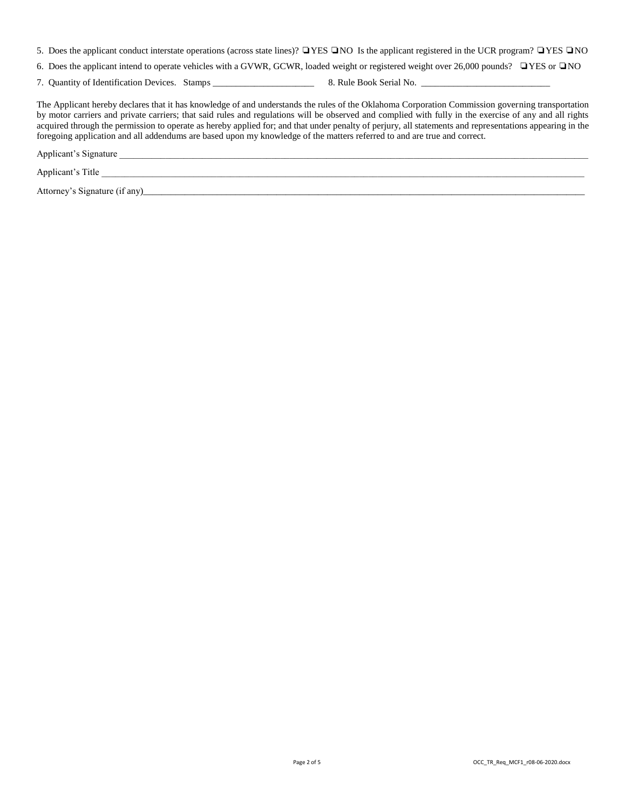5. Does the applicant conduct interstate operations (across state lines)? ❏YES ❏NO Is the applicant registered in the UCR program? ❏YES ❏NO

6. Does the applicant intend to operate vehicles with a GVWR, GCWR, loaded weight or registered weight over 26,000 pounds? ❏YES or ❏NO

7. Quantity of Identification Devices. Stamps \_\_\_\_\_\_\_\_\_\_\_\_\_\_\_\_\_\_\_\_\_\_ 8. Rule Book Serial No. \_\_\_\_\_\_\_\_\_\_\_\_\_\_\_\_\_\_\_\_\_\_\_\_\_\_\_\_

The Applicant hereby declares that it has knowledge of and understands the rules of the Oklahoma Corporation Commission governing transportation by motor carriers and private carriers; that said rules and regulations will be observed and complied with fully in the exercise of any and all rights acquired through the permission to operate as hereby applied for; and that under penalty of perjury, all statements and representations appearing in the foregoing application and all addendums are based upon my knowledge of the matters referred to and are true and correct.

Applicant's Signature

Applicant's Title \_\_\_\_\_\_\_\_\_\_\_\_\_\_\_\_\_\_\_\_\_\_\_\_\_\_\_\_\_\_\_\_\_\_\_\_\_\_\_\_\_\_\_\_\_\_\_\_\_\_\_\_\_\_\_\_\_\_\_\_\_\_\_\_\_\_\_\_\_\_\_\_\_\_\_\_\_\_\_\_\_\_\_\_\_\_\_\_\_\_\_\_\_\_\_\_\_\_\_\_\_\_\_\_\_

Attorney's Signature (if any)\_\_\_\_\_\_\_\_\_\_\_\_\_\_\_\_\_\_\_\_\_\_\_\_\_\_\_\_\_\_\_\_\_\_\_\_\_\_\_\_\_\_\_\_\_\_\_\_\_\_\_\_\_\_\_\_\_\_\_\_\_\_\_\_\_\_\_\_\_\_\_\_\_\_\_\_\_\_\_\_\_\_\_\_\_\_\_\_\_\_\_\_\_\_\_\_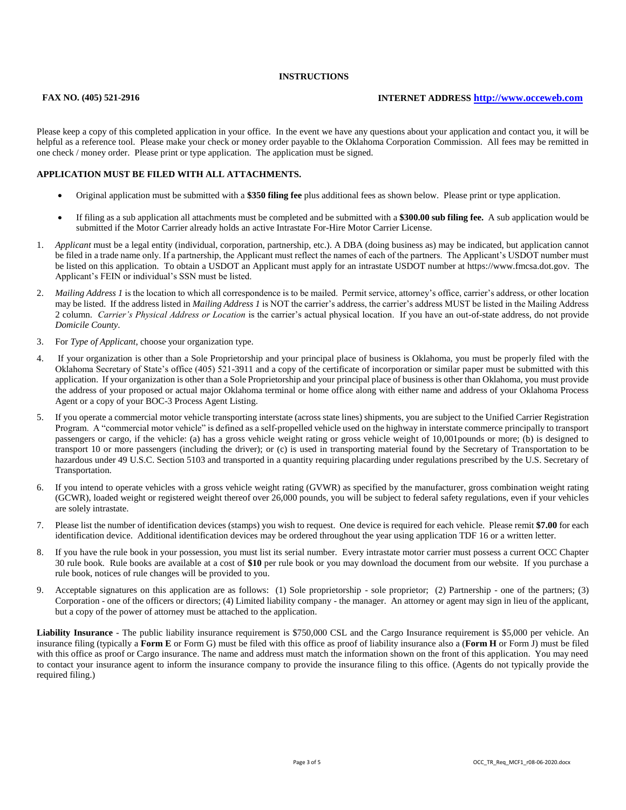#### **INSTRUCTIONS**

#### **FAX NO. (405) 521-2916 INTERNET ADDRESS [http://www.occeweb.com](http://www.occeweb.com/)**

Please keep a copy of this completed application in your office. In the event we have any questions about your application and contact you, it will be helpful as a reference tool. Please make your check or money order payable to the Oklahoma Corporation Commission. All fees may be remitted in one check / money order. Please print or type application. The application must be signed.

#### **APPLICATION MUST BE FILED WITH ALL ATTACHMENTS.**

- Original application must be submitted with a **\$350 filing fee** plus additional fees as shown below. Please print or type application.
- If filing as a sub application all attachments must be completed and be submitted with a **\$300.00 sub filing fee.** A sub application would be submitted if the Motor Carrier already holds an active Intrastate For-Hire Motor Carrier License.
- 1. *Applicant* must be a legal entity (individual, corporation, partnership, etc.). A DBA (doing business as) may be indicated, but application cannot be filed in a trade name only. If a partnership, the Applicant must reflect the names of each of the partners. The Applicant's USDOT number must be listed on this application. To obtain a USDOT an Applicant must apply for an intrastate USDOT number at https://www.fmcsa.dot.gov. The Applicant's FEIN or individual's SSN must be listed.
- 2. *Mailing Address 1* is the location to which all correspondence is to be mailed. Permit service, attorney's office, carrier's address, or other location may be listed. If the address listed in *Mailing Address 1* is NOT the carrier's address, the carrier's address MUST be listed in the Mailing Address 2 column. *Carrier's Physical Address or Location* is the carrier's actual physical location. If you have an out-of-state address, do not provide *Domicile County*.
- 3. For *Type of Applicant*, choose your organization type.
- 4. If your organization is other than a Sole Proprietorship and your principal place of business is Oklahoma, you must be properly filed with the Oklahoma Secretary of State's office (405) 521-3911 and a copy of the certificate of incorporation or similar paper must be submitted with this application. If your organization is other than a Sole Proprietorship and your principal place of business is other than Oklahoma, you must provide the address of your proposed or actual major Oklahoma terminal or home office along with either name and address of your Oklahoma Process Agent or a copy of your BOC-3 Process Agent Listing.
- 5. If you operate a commercial motor vehicle transporting interstate (across state lines) shipments, you are subject to the Unified Carrier Registration Program. A "commercial motor vehicle" is defined as a self-propelled vehicle used on the highway in interstate commerce principally to transport passengers or cargo, if the vehicle: (a) has a gross vehicle weight rating or gross vehicle weight of 10,001pounds or more; (b) is designed to transport 10 or more passengers (including the driver); or (c) is used in transporting material found by the Secretary of Transportation to be hazardous under 49 U.S.C. Section 5103 and transported in a quantity requiring placarding under regulations prescribed by the U.S. Secretary of Transportation.
- 6. If you intend to operate vehicles with a gross vehicle weight rating (GVWR) as specified by the manufacturer, gross combination weight rating (GCWR), loaded weight or registered weight thereof over 26,000 pounds, you will be subject to federal safety regulations, even if your vehicles are solely intrastate.
- 7. Please list the number of identification devices (stamps) you wish to request. One device is required for each vehicle. Please remit **\$7.00** for each identification device. Additional identification devices may be ordered throughout the year using application TDF 16 or a written letter.
- 8. If you have the rule book in your possession, you must list its serial number. Every intrastate motor carrier must possess a current OCC Chapter 30 rule book. Rule books are available at a cost of **\$10** per rule book or you may download the document from our website. If you purchase a rule book, notices of rule changes will be provided to you.
- 9. Acceptable signatures on this application are as follows: (1) Sole proprietorship sole proprietor; (2) Partnership one of the partners; (3) Corporation - one of the officers or directors; (4) Limited liability company - the manager. An attorney or agent may sign in lieu of the applicant, but a copy of the power of attorney must be attached to the application.

**Liability Insurance** - The public liability insurance requirement is \$750,000 CSL and the Cargo Insurance requirement is \$5,000 per vehicle. An insurance filing (typically a **Form E** or Form G) must be filed with this office as proof of liability insurance also a (**Form H** or Form J) must be filed with this office as proof or Cargo insurance. The name and address must match the information shown on the front of this application. You may need to contact your insurance agent to inform the insurance company to provide the insurance filing to this office. (Agents do not typically provide the required filing.)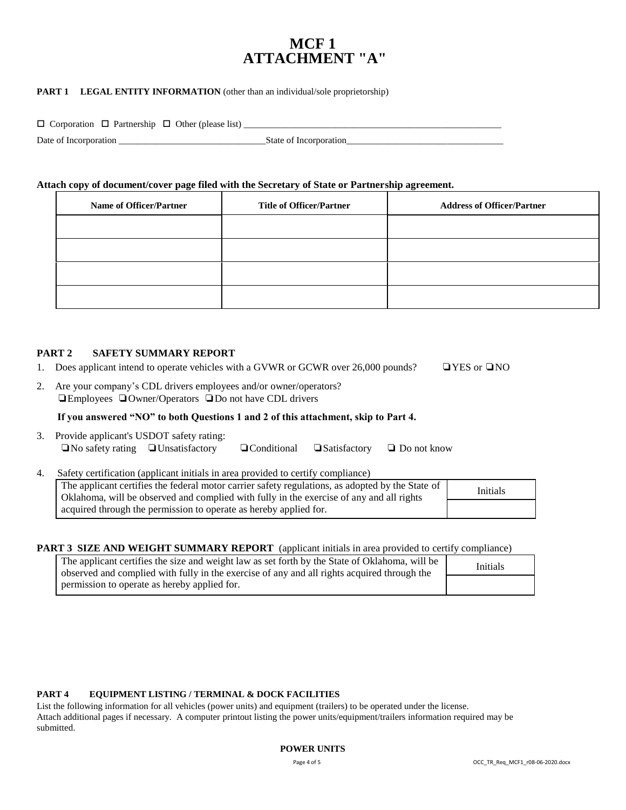# **MCF 1 ATTACHMENT "A"**

#### **PART 1 LEGAL ENTITY INFORMATION** (other than an individual/sole proprietorship)

| $\Box$ Corporation $\Box$ Partnership $\Box$ Other (please list) |                        |
|------------------------------------------------------------------|------------------------|
| Date of Incorporation                                            | State of Incorporation |

#### **Attach copy of document/cover page filed with the Secretary of State or Partnership agreement.**

| <b>Name of Officer/Partner</b> | <b>Title of Officer/Partner</b> | <b>Address of Officer/Partner</b> |
|--------------------------------|---------------------------------|-----------------------------------|
|                                |                                 |                                   |
|                                |                                 |                                   |
|                                |                                 |                                   |
|                                |                                 |                                   |

#### **PART 2 SAFETY SUMMARY REPORT**

- 1. Does applicant intend to operate vehicles with a GVWR or GCWR over 26,000 pounds? ❏YES or ❏NO
- 2. Are your company's CDL drivers employees and/or owner/operators? ❏Employees ❏Owner/Operators ❏Do not have CDL drivers

#### **If you answered "NO" to both Questions 1 and 2 of this attachment, skip to Part 4.**

| 3. Provide applicant's USDOT safety rating:   |  |                                                           |  |
|-----------------------------------------------|--|-----------------------------------------------------------|--|
| $\Box$ No safety rating $\Box$ Unsatisfactory |  | $\Box$ Conditional $\Box$ Satisfactory $\Box$ Do not know |  |

4. Safety certification (applicant initials in area provided to certify compliance)

| The applicant certifies the federal motor carrier safety regulations, as adopted by the State of<br>Oklahoma, will be observed and complied with fully in the exercise of any and all rights | Initials |
|----------------------------------------------------------------------------------------------------------------------------------------------------------------------------------------------|----------|
| acquired through the permission to operate as hereby applied for.                                                                                                                            |          |

#### **PART 3 SIZE AND WEIGHT SUMMARY REPORT** (applicant initials in area provided to certify compliance)

| The applicant certifies the size and weight law as set forth by the State of Oklahoma, will be<br>observed and complied with fully in the exercise of any and all rights acquired through the |  | Initials |  |
|-----------------------------------------------------------------------------------------------------------------------------------------------------------------------------------------------|--|----------|--|
| permission to operate as hereby applied for.                                                                                                                                                  |  |          |  |

#### **PART 4 EQUIPMENT LISTING / TERMINAL & DOCK FACILITIES**

List the following information for all vehicles (power units) and equipment (trailers) to be operated under the license. Attach additional pages if necessary. A computer printout listing the power units/equipment/trailers information required may be submitted.